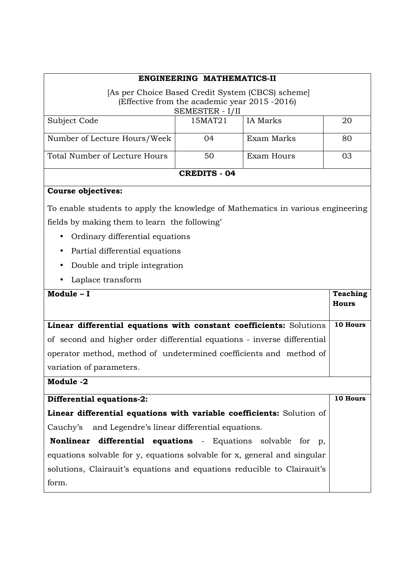| ENGINEERING MATHEMATICS-II                                                      |         |                 |                 |  |
|---------------------------------------------------------------------------------|---------|-----------------|-----------------|--|
| [As per Choice Based Credit System (CBCS) scheme]                               |         |                 |                 |  |
| (Effective from the academic year 2015 -2016)<br>SEMESTER - I/II                |         |                 |                 |  |
| Subject Code                                                                    | 15MAT21 | <b>IA</b> Marks | 20              |  |
| Number of Lecture Hours/Week                                                    | 04      | Exam Marks      | 80              |  |
| Total Number of Lecture Hours                                                   | 50      | Exam Hours      | 03              |  |
| <b>CREDITS - 04</b>                                                             |         |                 |                 |  |
| <b>Course objectives:</b>                                                       |         |                 |                 |  |
| To enable students to apply the knowledge of Mathematics in various engineering |         |                 |                 |  |
| fields by making them to learn the following'                                   |         |                 |                 |  |
| Ordinary differential equations                                                 |         |                 |                 |  |
| Partial differential equations                                                  |         |                 |                 |  |
| Double and triple integration<br>$\bullet$                                      |         |                 |                 |  |
| Laplace transform                                                               |         |                 |                 |  |
| Module - I                                                                      |         |                 | <b>Teaching</b> |  |
|                                                                                 |         |                 | <b>Hours</b>    |  |
| Linear differential equations with constant coefficients: Solutions             |         |                 |                 |  |
| of second and higher order differential equations - inverse differential        |         |                 |                 |  |
| operator method, method of undetermined coefficients and method of              |         |                 |                 |  |
| variation of parameters.                                                        |         |                 |                 |  |
| Module -2                                                                       |         |                 |                 |  |
| <b>Differential equations-2:</b>                                                |         |                 | 10 Hours        |  |
| Linear differential equations with variable coefficients: Solution of           |         |                 |                 |  |
| Cauchy's and Legendre's linear differential equations.                          |         |                 |                 |  |
| differential equations - Equations solvable for p,<br><b>Nonlinear</b>          |         |                 |                 |  |
| equations solvable for y, equations solvable for x, general and singular        |         |                 |                 |  |
| solutions, Clairauit's equations and equations reducible to Clairauit's         |         |                 |                 |  |
| form.                                                                           |         |                 |                 |  |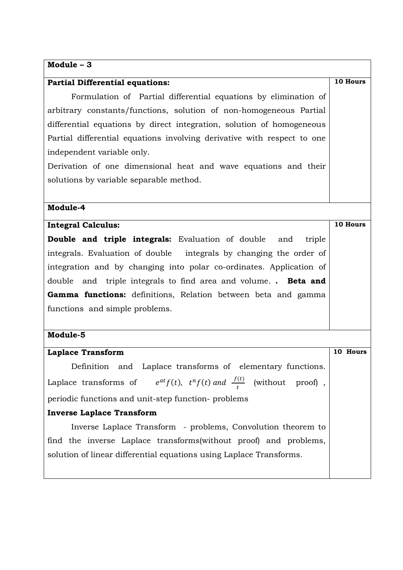# **Module – 3**

| <b>Partial Differential equations:</b>                                                | 10 Hours |  |
|---------------------------------------------------------------------------------------|----------|--|
| Formulation of Partial differential equations by elimination of                       |          |  |
| arbitrary constants/functions, solution of non-homogeneous Partial                    |          |  |
| differential equations by direct integration, solution of homogeneous                 |          |  |
| Partial differential equations involving derivative with respect to one               |          |  |
| independent variable only.                                                            |          |  |
| Derivation of one dimensional heat and wave equations and their                       |          |  |
| solutions by variable separable method.                                               |          |  |
|                                                                                       |          |  |
| Module-4                                                                              |          |  |
| <b>Integral Calculus:</b>                                                             | 10 Hours |  |
| <b>Double and triple integrals:</b> Evaluation of double and<br>triple                |          |  |
| integrals. Evaluation of double integrals by changing the order of                    |          |  |
| integration and by changing into polar co-ordinates. Application of                   |          |  |
| double and triple integrals to find area and volume Beta and                          |          |  |
| Gamma functions: definitions, Relation between beta and gamma                         |          |  |
| functions and simple problems.                                                        |          |  |
|                                                                                       |          |  |
| Module-5                                                                              |          |  |
| <b>Laplace Transform</b>                                                              | 10 Hours |  |
| and Laplace transforms of elementary functions.<br>Definition                         |          |  |
| Laplace transforms of $e^{at}f(t)$ , $t^n f(t)$ and $\frac{f(t)}{t}$ (without proof), |          |  |
| periodic functions and unit-step function-problems                                    |          |  |
| <b>Inverse Laplace Transform</b>                                                      |          |  |
| Inverse Laplace Transform - problems, Convolution theorem to                          |          |  |
| find the inverse Laplace transforms (without proof) and problems,                     |          |  |
| solution of linear differential equations using Laplace Transforms.                   |          |  |
|                                                                                       |          |  |

 $\overline{\phantom{a}}$